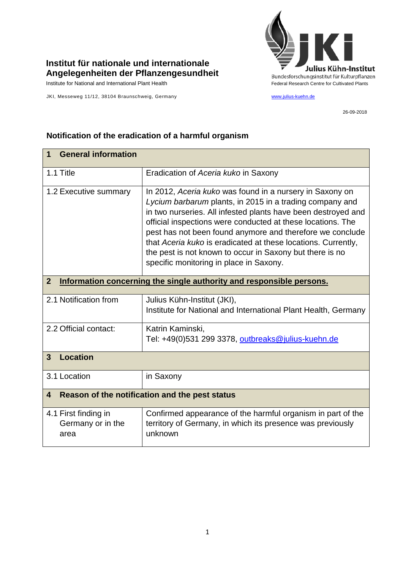

## **Institut für nationale und internationale Angelegenheiten der Pflanzengesundheit**

JKI, Messeweg 11/12, 38104 Braunschweig, Germany [www.julius-kuehn.de](http://www.julius-kuehn.de/)

26-09-2018

| <b>General information</b><br>1                                                        |                                                                                                                                                                                                                                                                                                                                                                                                                                                                                           |
|----------------------------------------------------------------------------------------|-------------------------------------------------------------------------------------------------------------------------------------------------------------------------------------------------------------------------------------------------------------------------------------------------------------------------------------------------------------------------------------------------------------------------------------------------------------------------------------------|
| 1.1 Title                                                                              | Eradication of Aceria kuko in Saxony                                                                                                                                                                                                                                                                                                                                                                                                                                                      |
| 1.2 Executive summary                                                                  | In 2012, Aceria kuko was found in a nursery in Saxony on<br>Lycium barbarum plants, in 2015 in a trading company and<br>in two nurseries. All infested plants have been destroyed and<br>official inspections were conducted at these locations. The<br>pest has not been found anymore and therefore we conclude<br>that Aceria kuko is eradicated at these locations. Currently,<br>the pest is not known to occur in Saxony but there is no<br>specific monitoring in place in Saxony. |
| $\overline{2}$<br>Information concerning the single authority and responsible persons. |                                                                                                                                                                                                                                                                                                                                                                                                                                                                                           |
| 2.1 Notification from                                                                  | Julius Kühn-Institut (JKI),<br>Institute for National and International Plant Health, Germany                                                                                                                                                                                                                                                                                                                                                                                             |
| 2.2 Official contact:                                                                  | Katrin Kaminski,<br>Tel: +49(0)531 299 3378, outbreaks@julius-kuehn.de                                                                                                                                                                                                                                                                                                                                                                                                                    |
| <b>Location</b><br>$\mathbf{3}$                                                        |                                                                                                                                                                                                                                                                                                                                                                                                                                                                                           |
| 3.1 Location                                                                           | in Saxony                                                                                                                                                                                                                                                                                                                                                                                                                                                                                 |
| Reason of the notification and the pest status<br>4                                    |                                                                                                                                                                                                                                                                                                                                                                                                                                                                                           |
| 4.1 First finding in<br>Germany or in the<br>area                                      | Confirmed appearance of the harmful organism in part of the<br>territory of Germany, in which its presence was previously<br>unknown                                                                                                                                                                                                                                                                                                                                                      |

## **Notification of the eradication of a harmful organism**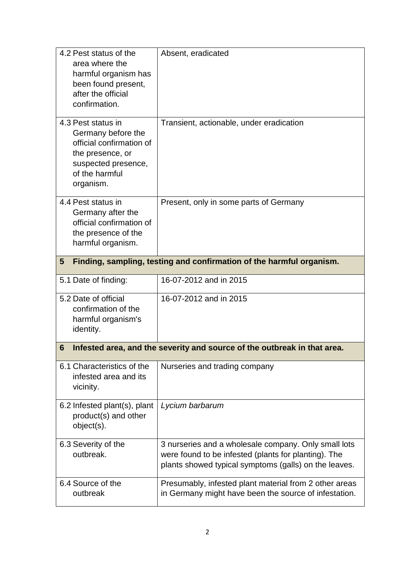| 4.2 Pest status of the<br>area where the<br>harmful organism has<br>been found present,<br>after the official<br>confirmation.                 | Absent, eradicated                                                                                                                                                    |  |
|------------------------------------------------------------------------------------------------------------------------------------------------|-----------------------------------------------------------------------------------------------------------------------------------------------------------------------|--|
| 4.3 Pest status in<br>Germany before the<br>official confirmation of<br>the presence, or<br>suspected presence,<br>of the harmful<br>organism. | Transient, actionable, under eradication                                                                                                                              |  |
| 4.4 Pest status in<br>Germany after the<br>official confirmation of<br>the presence of the<br>harmful organism.                                | Present, only in some parts of Germany                                                                                                                                |  |
| Finding, sampling, testing and confirmation of the harmful organism.<br>5                                                                      |                                                                                                                                                                       |  |
| 5.1 Date of finding:                                                                                                                           | 16-07-2012 and in 2015                                                                                                                                                |  |
| 5.2 Date of official<br>confirmation of the<br>harmful organism's<br>identity.                                                                 | 16-07-2012 and in 2015                                                                                                                                                |  |
| Infested area, and the severity and source of the outbreak in that area.<br>6                                                                  |                                                                                                                                                                       |  |
| 6.1 Characteristics of the<br>infested area and its<br>vicinity.                                                                               | Nurseries and trading company                                                                                                                                         |  |
| 6.2 Infested plant(s), plant<br>product(s) and other<br>object(s).                                                                             | Lycium barbarum                                                                                                                                                       |  |
| 6.3 Severity of the<br>outbreak.                                                                                                               | 3 nurseries and a wholesale company. Only small lots<br>were found to be infested (plants for planting). The<br>plants showed typical symptoms (galls) on the leaves. |  |
| 6.4 Source of the<br>outbreak                                                                                                                  | Presumably, infested plant material from 2 other areas<br>in Germany might have been the source of infestation.                                                       |  |